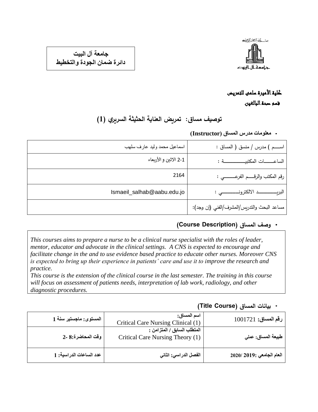

**جامعة آل البيت دائرة ضمان الجودة والتخطيط**

## كلية األميرة سلمى للتمريض قسم صحة البالغين

# **توصيف مساق: تمريض العناية الحثيثة السريري )1(**

#### **معلومات مدرس المساق )Instructor)**

| اسماعيل محمد وليد عارف سلهب | اســـم ) مدرس / منسق ( المساق :             |
|-----------------------------|---------------------------------------------|
| 2-1 الاثين و الأربعاء       | الساعــــات المكتبيـــــــــــة :           |
| 2164                        | رقم المكتب والرقسم الفرعـــــــــي :        |
| Ismaeil_salhab@aabu.edu.jo  |                                             |
|                             | مساعد البحث والتدريس/المشرف/الفني (إن وجد): |

### **وصف المساق )Description Course )**

*This courses aims to prepare a nurse to be a clinical nurse specialist with the roles of leader, mentor, educator and advocate in the clinical settings. A CNS is expected to encourage and facilitate change in the and to use evidence based practice to educate other nurses. Moreover CNS is expected to bring up their experience in patients' care and use it to improve the research and practice.*

*This course is the extension of the clinical course in the last semester. The training in this course will focus on assessment of patients needs, interpretation of lab work, radiology, and other diagnostic procedures.*

#### **بيانات المساق )Course Title )**

| رقم المساق: 1001721       | اسم المساق:<br>Critical Care Nursing Clinical (1)               | المستوى: ماجستير سنة 1  |
|---------------------------|-----------------------------------------------------------------|-------------------------|
| طبيعة المساق: عملي        | المتطلب السابق / المتزامن :<br>Critical Care Nursing Theory (1) | وقت المحاضرة:8 -2       |
| العام الجامعي :2019/ 2020 | الفصل الدراسي: الثاني                                           | عدد الساعات الدراسية: 1 |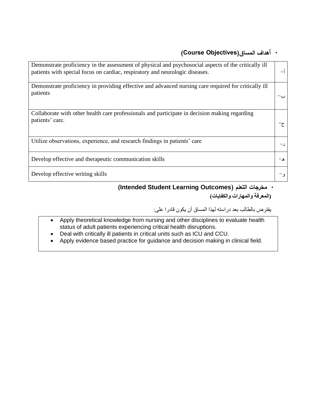## **أهداف المساق)Objectives Course )**

| Demonstrate proficiency in the assessment of physical and psychosocial aspects of the critically ill<br>patients with special focus on cardiac, respiratory and neurologic diseases. |  |
|--------------------------------------------------------------------------------------------------------------------------------------------------------------------------------------|--|
| Demonstrate proficiency in providing effective and advanced nursing care required for critically ill<br>patients                                                                     |  |
| Collaborate with other health care professionals and participate in decision making regarding<br>patients' care.                                                                     |  |
| Utilize observations, experience, and research findings in patients' care                                                                                                            |  |
| Develop effective and therapeutic communication skills                                                                                                                               |  |
| Develop effective writing skills                                                                                                                                                     |  |

 **)Intended Student Learning Outcomes( التعلم مخرجات )المعرفة والمهارات والكفايات(**

يفترض بالطالب بعد دراسته لهذا المساق أن يكون قادرا على:

- Apply theoretical knowledge from nursing and other disciplines to evaluate health status of adult patients experiencing critical health disruptions.
- Deal with critically ill patients in critical units such as ICU and CCU.
- Apply evidence based practice for guidance and decision making in clinical field.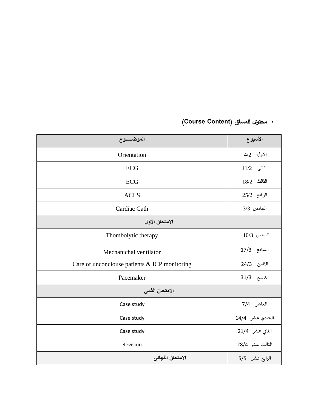# **محتوى المساق )Content Course )**

| الموضـــــوع                                  | الأسبوع         |  |  |
|-----------------------------------------------|-----------------|--|--|
| Orientation                                   | الأول 4/2       |  |  |
| ECG                                           | $11/2$ الثاني   |  |  |
| <b>ECG</b>                                    | $18/2$ الثالث   |  |  |
| <b>ACLS</b>                                   | الرابع 25/2     |  |  |
| Cardiac Cath                                  | الخامس 3/3      |  |  |
| الامتحان الأول                                |                 |  |  |
| Thombolytic therapy                           | $10/3$ السادس   |  |  |
| Mechanichal ventilator                        | السابع 17/3     |  |  |
| Care of unconciouse patients & ICP monitoring | الثامن 24/3     |  |  |
| Pacemaker                                     | التاسع 31/3     |  |  |
| الامتحان الثاني                               |                 |  |  |
| Case study                                    | العاشر 7/4      |  |  |
| Case study                                    | الحادي عشر 14/4 |  |  |
| Case study                                    | الثاني عشر 21/4 |  |  |
| Revision                                      | الثالث عشر 28/4 |  |  |
| الامتحان النهائى                              | الرابع عشر 5/5  |  |  |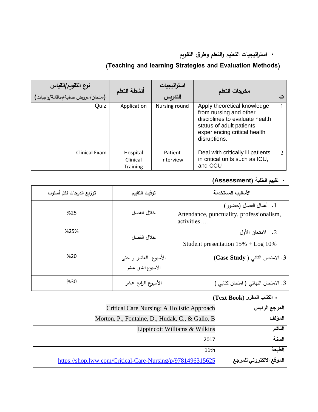## **است ارتيجيات التعليم والتعلم وطرق التقويم**

## **)Teaching and learning Strategies and Evaluation Methods(**

| نوع التقويم/القياس<br>.<br>(امتحان/عروض صفية/مناقشة/واجبات) | أنشطة التعلم                            | استراتيجيات<br>التدريس | مخرجات التعلم                                                                                                                                                       | ٽ |
|-------------------------------------------------------------|-----------------------------------------|------------------------|---------------------------------------------------------------------------------------------------------------------------------------------------------------------|---|
| Quiz                                                        | Application                             | Nursing round          | Apply theoretical knowledge<br>from nursing and other<br>disciplines to evaluate health<br>status of adult patients<br>experiencing critical health<br>disruptions. |   |
| Clinical Exam                                               | Hospital<br>Clinical<br><b>Training</b> | Patient<br>interview   | Deal with critically ill patients<br>in critical units such as ICU,<br>and CCU                                                                                      | 2 |

## **تقييم الطلبة )Assessment)**

| توزيع الدرجات لكل أسلوب | توقيت التقييم                              | الأساليب المستخدمة                                                               |
|-------------------------|--------------------------------------------|----------------------------------------------------------------------------------|
| %25                     | خلال الفصل                                 | 1. أعمال الفصل (حضور)<br>Attendance, punctuality, professionalism,<br>activities |
| %25%                    | خلال الفصل                                 | 2. الامتحان الأول<br>Student presentation $15\% + \text{Log } 10\%$              |
| %20                     | الأسبوع العاشر و حتى<br>الاسبوع الثاني عشر | 3. الامتحان الثاني ( Case Study)                                                 |
| %30                     | الأسبوع الرابع عشر                         | 3. الامتحان النهائي ( امتحان كتابي )                                             |

### **الكتاب المقرر )Book Text)**

| المرجع الرئيس            | Critical Care Nursing: A Holistic Approach                 |
|--------------------------|------------------------------------------------------------|
| المولف                   | Morton, P., Fontaine, D., Hudak, C., & Gallo, B.           |
| المناشر                  | Lippincott Williams & Wilkins                              |
| السنة                    | 2017                                                       |
| الطبعة                   | 11th                                                       |
| الموقع الالكتروني للمرجع | https://shop.lww.com/Critical-Care-Nursing/p/9781496315625 |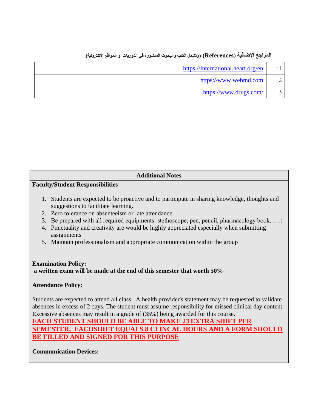# **المراجع اإلضافية )References( )وتشمل الكتب والبحوث المنشورة في الدوريات او المواقع االلكترونية(**

| $-1$ | https://international.heart.org/en |
|------|------------------------------------|
| $-2$ | https://www.webmd.com              |
| $-3$ | https://www.drugs.com/             |

| <b>Additional Notes</b>                                                                                                                                                                                                                                                                                                                                                                                                                                                    |  |  |  |
|----------------------------------------------------------------------------------------------------------------------------------------------------------------------------------------------------------------------------------------------------------------------------------------------------------------------------------------------------------------------------------------------------------------------------------------------------------------------------|--|--|--|
| <b>Faculty/Student Responsibilities</b>                                                                                                                                                                                                                                                                                                                                                                                                                                    |  |  |  |
|                                                                                                                                                                                                                                                                                                                                                                                                                                                                            |  |  |  |
| 1. Students are expected to be proactive and to participate in sharing knowledge, thoughts and<br>suggestions to facilitate learning.                                                                                                                                                                                                                                                                                                                                      |  |  |  |
| 2. Zero tolerance on absenteeism or late attendance                                                                                                                                                                                                                                                                                                                                                                                                                        |  |  |  |
| Be prepared with all required equipments: stethoscope, pen, pencil, pharmacology book, )<br>3.                                                                                                                                                                                                                                                                                                                                                                             |  |  |  |
| Punctuality and creativity are would be highly appreciated especially when submitting<br>4.<br>assignments                                                                                                                                                                                                                                                                                                                                                                 |  |  |  |
| Maintain professionalism and appropriate communication within the group<br>5 <sub>1</sub>                                                                                                                                                                                                                                                                                                                                                                                  |  |  |  |
|                                                                                                                                                                                                                                                                                                                                                                                                                                                                            |  |  |  |
| <b>Examination Policy:</b><br>a written exam will be made at the end of this semester that worth 50%                                                                                                                                                                                                                                                                                                                                                                       |  |  |  |
| <b>Attendance Policy:</b>                                                                                                                                                                                                                                                                                                                                                                                                                                                  |  |  |  |
| Students are expected to attend all class. A health provider's statement may be requested to validate<br>absences in excess of 2 days. The student must assume responsibility for missed clinical day content.<br>Excessive absences may result in a grade of (35%) being awarded for this course.<br><b>EACH STUDENT SHOULD BE ABLE TO MAKE 23 EXTRA SHIFT PER</b><br>SEMESTER,  EACHSHIFT EQUALS 8 CLINCAL HOURS AND A FORM SHOULI<br>FILLED AND SIGNED FOR THIS PURPOSE |  |  |  |
|                                                                                                                                                                                                                                                                                                                                                                                                                                                                            |  |  |  |

**Communication Devices:**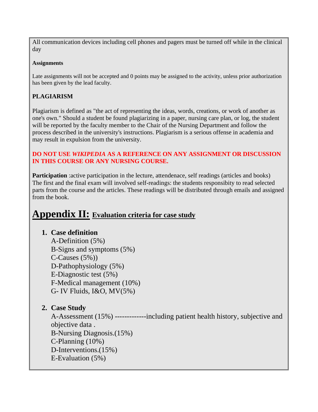All communication devices including cell phones and pagers must be turned off while in the clinical day

#### **Assignments**

Late assignments will not be accepted and 0 points may be assigned to the activity, unless prior authorization has been given by the lead faculty.

#### **PLAGIARISM**

Plagiarism is defined as "the act of representing the ideas, words, creations, or work of another as one's own." Should a student be found plagiarizing in a paper, nursing care plan, or log, the student will be reported by the faculty member to the Chair of the Nursing Department and follow the process described in the university's instructions. Plagiarism is a serious offense in academia and may result in expulsion from the university.

#### **DO NOT USE** *WIKIPEDIA* **AS A REFERENCE ON ANY ASSIGNMENT OR DISCUSSION IN THIS COURSE OR ANY NURSING COURSE.**

**Participation** : active participation in the lecture, attendenace, self readings (articles and books) The first and the final exam will involved self-readings: the students responsibity to read selected parts from the course and the articles. These readings will be distributed through emails and assigned from the book.

## **Appendix II: Evaluation criteria for case study**

#### **1. Case definition**

A-Definition (5%) B-Signs and symptoms (5%) C-Causes (5%)) D-Pathophysiology (5%) E-Diagnostic test (5%) F-Medical management (10%) G- IV Fluids, I&O, MV(5%)

### **2. Case Study**

A-Assessment (15%) -------------including patient health history, subjective and objective data . B-Nursing Diagnosis.(15%) C-Planning (10%) D-Interventions.(15%) E-Evaluation (5%)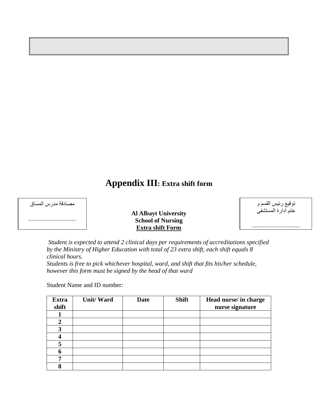# **Appendix III: Extra shift form**

| مصادقة مدرس المساق |
|--------------------|
|                    |

#### **Al Albayt University School of Nursing Extra shift Form**

| توقيع رئيس القسم و |
|--------------------|
| ختم ادارة المستشفى |

...............................

*Student is expected to attend 2 clinical days per requirements of accreditations specified by the Ministry of Higher Education with total of 23 extra shift, each shift equals 8 clinical hours. Students is free to pick whichever hospital, ward, and shift that fits his/her schedule,* 

*however this form must be signed by the head of that ward* 

Student Name and ID number:

| <b>Extra</b><br>shift | <b>Unit/Ward</b> | <b>Date</b> | <b>Shift</b> | Head nurse/ in charge<br>nurse signature |
|-----------------------|------------------|-------------|--------------|------------------------------------------|
|                       |                  |             |              |                                          |
| 2                     |                  |             |              |                                          |
| 3                     |                  |             |              |                                          |
| 4                     |                  |             |              |                                          |
| 5                     |                  |             |              |                                          |
| 6                     |                  |             |              |                                          |
| 7                     |                  |             |              |                                          |
| Q                     |                  |             |              |                                          |